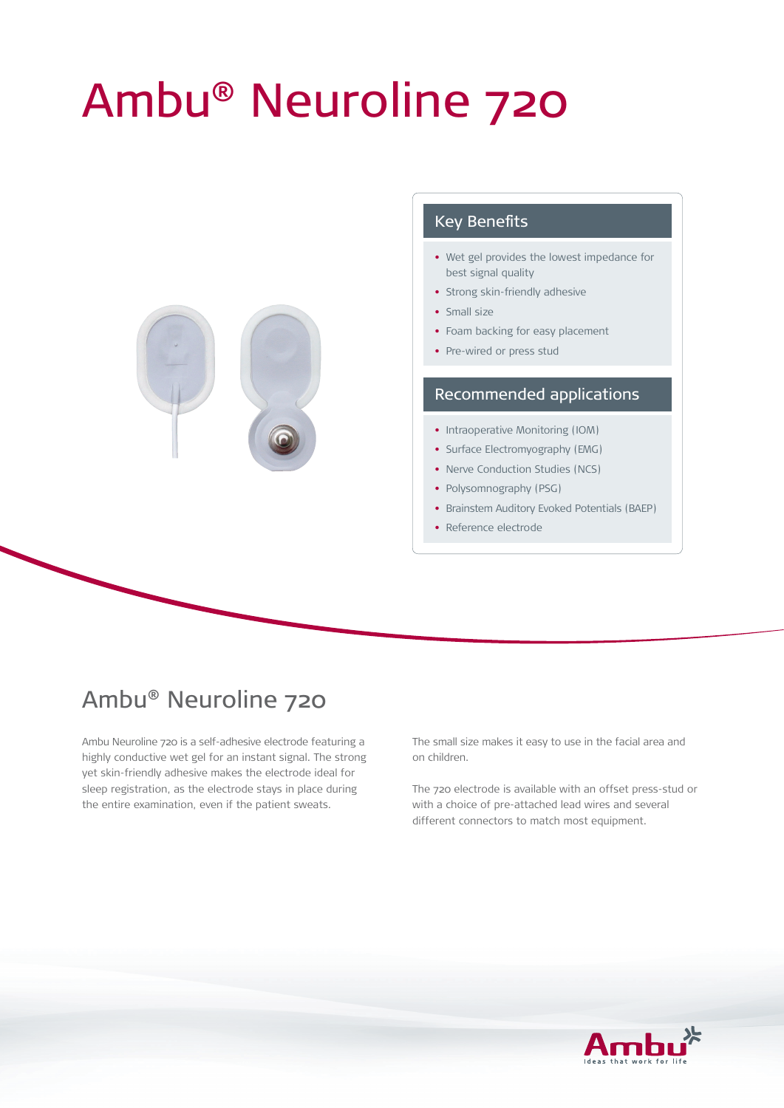# Ambu® Neuroline 720



### Key Benefits

- Wet gel provides the lowest impedance for best signal quality
- Strong skin-friendly adhesive
- Small size
- Foam backing for easy placement
- Pre-wired or press stud

#### Recommended applications

- Intraoperative Monitoring (IOM)
- Surface Electromyography (EMG)
- Nerve Conduction Studies (NCS)
- Polysomnography (PSG)
- Brainstem Auditory Evoked Potentials (BAEP)
- Reference electrode

## Ambu® Neuroline 720

Ambu Neuroline 720 is a self-adhesive electrode featuring a highly conductive wet gel for an instant signal. The strong yet skin-friendly adhesive makes the electrode ideal for sleep registration, as the electrode stays in place during the entire examination, even if the patient sweats.

The small size makes it easy to use in the facial area and on children.

The 720 electrode is available with an offset press-stud or with a choice of pre-attached lead wires and several different connectors to match most equipment.